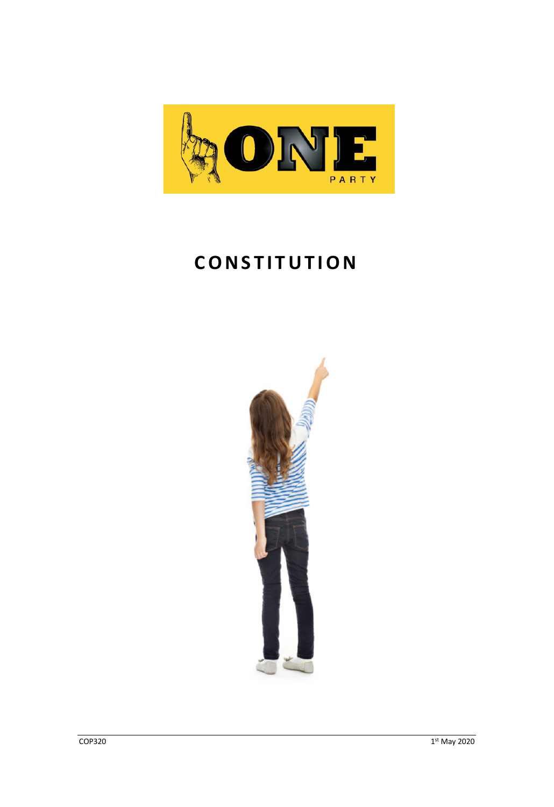

# **CONSTITUTION**

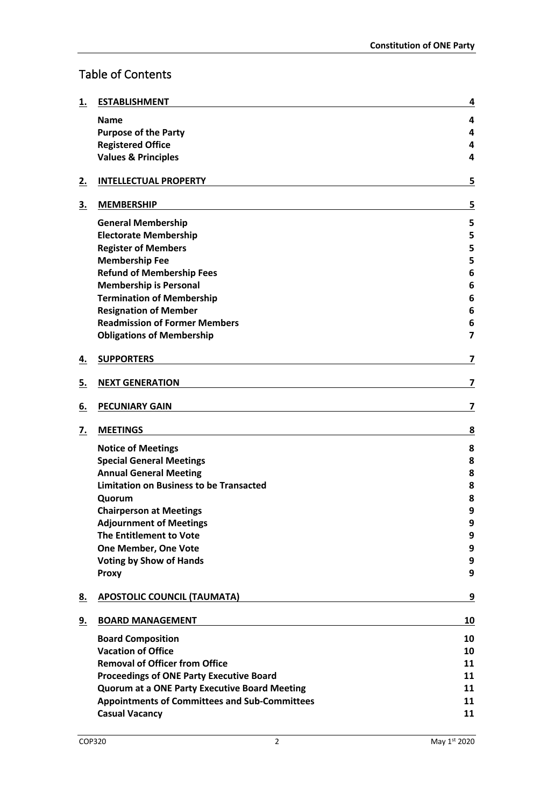# Table of Contents

| <u>1.</u> | <b>ESTABLISHMENT</b>                                 | 4                       |
|-----------|------------------------------------------------------|-------------------------|
|           | <b>Name</b>                                          | 4                       |
|           | <b>Purpose of the Party</b>                          | 4                       |
|           | <b>Registered Office</b>                             | 4                       |
|           | <b>Values &amp; Principles</b>                       | 4                       |
| <u>2.</u> | <b>INTELLECTUAL PROPERTY</b>                         | 5                       |
| <u>3.</u> | <b>MEMBERSHIP</b>                                    | 5                       |
|           | <b>General Membership</b>                            | 5                       |
|           | <b>Electorate Membership</b>                         | 5                       |
|           | <b>Register of Members</b>                           | 5                       |
|           | <b>Membership Fee</b>                                | 5                       |
|           | <b>Refund of Membership Fees</b>                     | 6                       |
|           | <b>Membership is Personal</b>                        | 6                       |
|           | <b>Termination of Membership</b>                     | 6                       |
|           | <b>Resignation of Member</b>                         | 6                       |
|           | <b>Readmission of Former Members</b>                 | 6                       |
|           | <b>Obligations of Membership</b>                     | $\overline{\mathbf{z}}$ |
| <u>4.</u> | <b>SUPPORTERS</b>                                    | 7                       |
| <u>5.</u> | <b>NEXT GENERATION</b>                               | 7                       |
| <u>6.</u> | <b>PECUNIARY GAIN</b>                                | 7                       |
| <u>7.</u> | <b>MEETINGS</b>                                      | 8                       |
|           | <b>Notice of Meetings</b>                            | 8                       |
|           | <b>Special General Meetings</b>                      | 8                       |
|           | <b>Annual General Meeting</b>                        | 8                       |
|           | <b>Limitation on Business to be Transacted</b>       | 8                       |
|           | Quorum                                               | 8                       |
|           | <b>Chairperson at Meetings</b>                       | 9                       |
|           | <b>Adjournment of Meetings</b>                       | 9                       |
|           | The Entitlement to Vote                              | 9                       |
|           | One Member, One Vote                                 | 9                       |
|           | <b>Voting by Show of Hands</b>                       | 9                       |
|           | <b>Proxy</b>                                         | 9                       |
| <u>8.</u> | <b>APOSTOLIC COUNCIL (TAUMATA)</b>                   | 9                       |
| <u>9.</u> | <b>BOARD MANAGEMENT</b>                              | 10                      |
|           | <b>Board Composition</b>                             | 10                      |
|           | <b>Vacation of Office</b>                            | 10                      |
|           | <b>Removal of Officer from Office</b>                | 11                      |
|           | <b>Proceedings of ONE Party Executive Board</b>      | 11                      |
|           | <b>Quorum at a ONE Party Executive Board Meeting</b> | 11                      |
|           | <b>Appointments of Committees and Sub-Committees</b> | 11                      |
|           | <b>Casual Vacancy</b>                                | 11                      |
|           |                                                      |                         |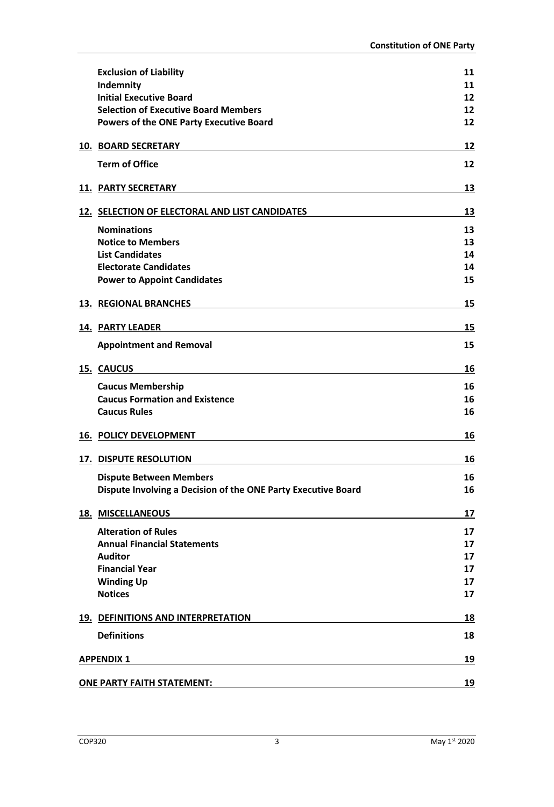| <b>Exclusion of Liability</b>                                 | 11 |
|---------------------------------------------------------------|----|
| Indemnity                                                     | 11 |
| <b>Initial Executive Board</b>                                | 12 |
| <b>Selection of Executive Board Members</b>                   | 12 |
| <b>Powers of the ONE Party Executive Board</b>                | 12 |
| <b>10. BOARD SECRETARY</b>                                    | 12 |
| <b>Term of Office</b>                                         | 12 |
| <b>11. PARTY SECRETARY</b>                                    | 13 |
| 12. SELECTION OF ELECTORAL AND LIST CANDIDATES                | 13 |
| <b>Nominations</b>                                            | 13 |
| <b>Notice to Members</b>                                      | 13 |
| <b>List Candidates</b>                                        | 14 |
| <b>Electorate Candidates</b>                                  | 14 |
| <b>Power to Appoint Candidates</b>                            | 15 |
| <b>13. REGIONAL BRANCHES</b>                                  | 15 |
|                                                               |    |
| <b>14. PARTY LEADER</b>                                       | 15 |
| <b>Appointment and Removal</b>                                | 15 |
| 15. CAUCUS                                                    | 16 |
| <b>Caucus Membership</b>                                      | 16 |
| <b>Caucus Formation and Existence</b>                         | 16 |
| <b>Caucus Rules</b>                                           | 16 |
| <b>16. POLICY DEVELOPMENT</b>                                 | 16 |
| <b>17. DISPUTE RESOLUTION</b>                                 | 16 |
| <b>Dispute Between Members</b>                                | 16 |
| Dispute Involving a Decision of the ONE Party Executive Board | 16 |
| <b>18. MISCELLANEOUS</b>                                      | 17 |
| <b>Alteration of Rules</b>                                    | 17 |
| <b>Annual Financial Statements</b>                            | 17 |
| <b>Auditor</b>                                                | 17 |
| <b>Financial Year</b>                                         | 17 |
| <b>Winding Up</b>                                             | 17 |
| <b>Notices</b>                                                | 17 |
| 19. DEFINITIONS AND INTERPRETATION                            | 18 |
| <b>Definitions</b>                                            | 18 |
| <b>APPENDIX 1</b>                                             | 19 |
|                                                               |    |
| <b>ONE PARTY FAITH STATEMENT:</b>                             | 19 |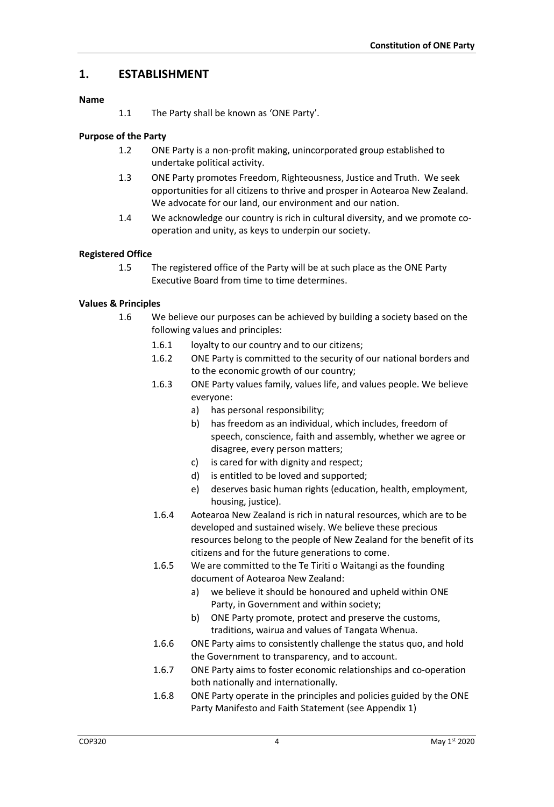# **1. ESTABLISHMENT**

#### **Name**

1.1 The Party shall be known as 'ONE Party'.

## **Purpose of the Party**

- 1.2 ONE Party is a non-profit making, unincorporated group established to undertake political activity.
- 1.3 ONE Party promotes Freedom, Righteousness, Justice and Truth. We seek opportunities for all citizens to thrive and prosper in Aotearoa New Zealand. We advocate for our land, our environment and our nation.
- 1.4 We acknowledge our country is rich in cultural diversity, and we promote cooperation and unity, as keys to underpin our society.

## **Registered Office**

1.5 The registered office of the Party will be at such place as the ONE Party Executive Board from time to time determines.

#### **Values & Principles**

- 1.6 We believe our purposes can be achieved by building a society based on the following values and principles:
	- 1.6.1 loyalty to our country and to our citizens;
	- 1.6.2 ONE Party is committed to the security of our national borders and to the economic growth of our country;
	- 1.6.3 ONE Party values family, values life, and values people. We believe everyone:
		- a) has personal responsibility;
		- b) has freedom as an individual, which includes, freedom of speech, conscience, faith and assembly, whether we agree or disagree, every person matters;
		- c) is cared for with dignity and respect;
		- d) is entitled to be loved and supported;
		- e) deserves basic human rights (education, health, employment, housing, justice).
	- 1.6.4 Aotearoa New Zealand is rich in natural resources, which are to be developed and sustained wisely. We believe these precious resources belong to the people of New Zealand for the benefit of its citizens and for the future generations to come.
	- 1.6.5 We are committed to the Te Tiriti o Waitangi as the founding document of Aotearoa New Zealand:
		- a) we believe it should be honoured and upheld within ONE Party, in Government and within society;
		- b) ONE Party promote, protect and preserve the customs, traditions, wairua and values of Tangata Whenua.
	- 1.6.6 ONE Party aims to consistently challenge the status quo, and hold the Government to transparency, and to account.
	- 1.6.7 ONE Party aims to foster economic relationships and co-operation both nationally and internationally.
	- 1.6.8 ONE Party operate in the principles and policies guided by the ONE Party Manifesto and Faith Statement (see Appendix 1)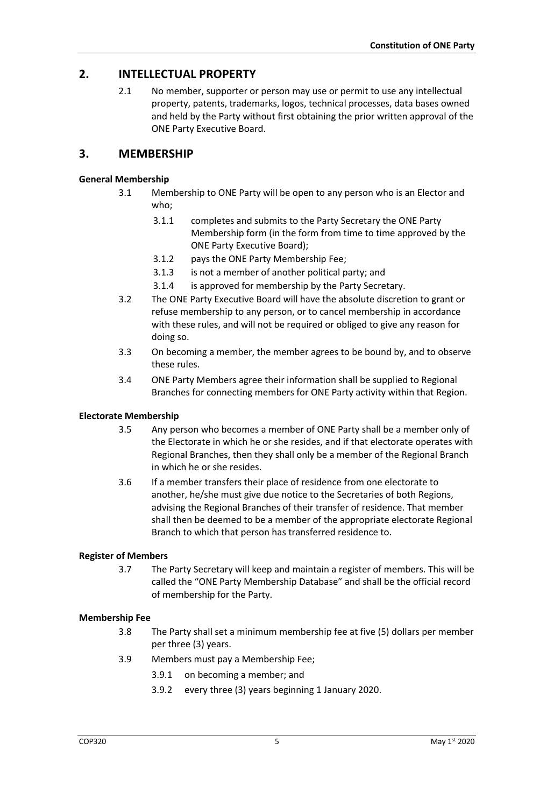# **2. INTELLECTUAL PROPERTY**

2.1 No member, supporter or person may use or permit to use any intellectual property, patents, trademarks, logos, technical processes, data bases owned and held by the Party without first obtaining the prior written approval of the ONE Party Executive Board.

# **3. MEMBERSHIP**

#### **General Membership**

- 3.1 Membership to ONE Party will be open to any person who is an Elector and who;
	- 3.1.1 completes and submits to the Party Secretary the ONE Party Membership form (in the form from time to time approved by the ONE Party Executive Board);
	- 3.1.2 pays the ONE Party Membership Fee;
	- 3.1.3 is not a member of another political party; and
	- 3.1.4 is approved for membership by the Party Secretary.
- 3.2 The ONE Party Executive Board will have the absolute discretion to grant or refuse membership to any person, or to cancel membership in accordance with these rules, and will not be required or obliged to give any reason for doing so.
- 3.3 On becoming a member, the member agrees to be bound by, and to observe these rules.
- 3.4 ONE Party Members agree their information shall be supplied to Regional Branches for connecting members for ONE Party activity within that Region.

#### **Electorate Membership**

- 3.5 Any person who becomes a member of ONE Party shall be a member only of the Electorate in which he or she resides, and if that electorate operates with Regional Branches, then they shall only be a member of the Regional Branch in which he or she resides.
- 3.6 If a member transfers their place of residence from one electorate to another, he/she must give due notice to the Secretaries of both Regions, advising the Regional Branches of their transfer of residence. That member shall then be deemed to be a member of the appropriate electorate Regional Branch to which that person has transferred residence to.

#### **Register of Members**

3.7 The Party Secretary will keep and maintain a register of members. This will be called the "ONE Party Membership Database" and shall be the official record of membership for the Party.

#### **Membership Fee**

- 3.8 The Party shall set a minimum membership fee at five (5) dollars per member per three (3) years.
- 3.9 Members must pay a Membership Fee;
	- 3.9.1 on becoming a member; and
	- 3.9.2 every three (3) years beginning 1 January 2020.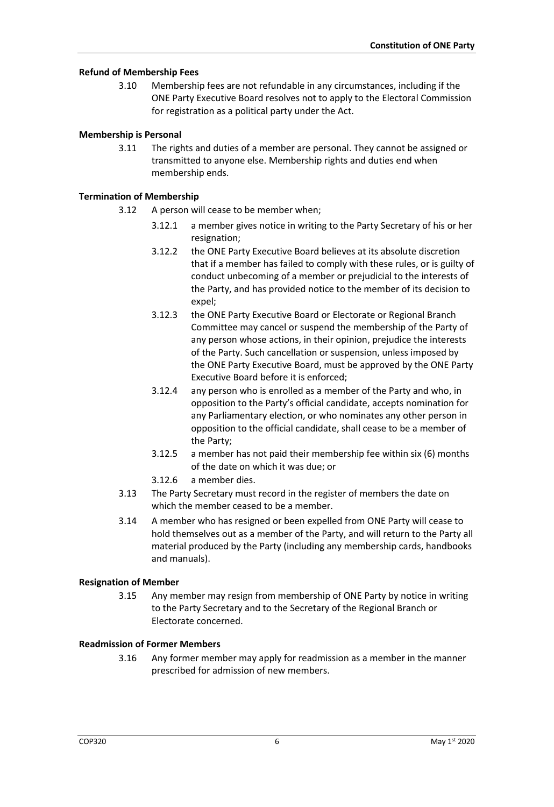#### **Refund of Membership Fees**

3.10 Membership fees are not refundable in any circumstances, including if the ONE Party Executive Board resolves not to apply to the Electoral Commission for registration as a political party under the Act.

#### **Membership is Personal**

3.11 The rights and duties of a member are personal. They cannot be assigned or transmitted to anyone else. Membership rights and duties end when membership ends.

#### **Termination of Membership**

- 3.12 A person will cease to be member when;
	- 3.12.1 a member gives notice in writing to the Party Secretary of his or her resignation;
	- 3.12.2 the ONE Party Executive Board believes at its absolute discretion that if a member has failed to comply with these rules, or is guilty of conduct unbecoming of a member or prejudicial to the interests of the Party, and has provided notice to the member of its decision to expel;
	- 3.12.3 the ONE Party Executive Board or Electorate or Regional Branch Committee may cancel or suspend the membership of the Party of any person whose actions, in their opinion, prejudice the interests of the Party. Such cancellation or suspension, unless imposed by the ONE Party Executive Board, must be approved by the ONE Party Executive Board before it is enforced;
	- 3.12.4 any person who is enrolled as a member of the Party and who, in opposition to the Party's official candidate, accepts nomination for any Parliamentary election, or who nominates any other person in opposition to the official candidate, shall cease to be a member of the Party;
	- 3.12.5 a member has not paid their membership fee within six (6) months of the date on which it was due; or
	- 3.12.6 a member dies.
- 3.13 The Party Secretary must record in the register of members the date on which the member ceased to be a member.
- 3.14 A member who has resigned or been expelled from ONE Party will cease to hold themselves out as a member of the Party, and will return to the Party all material produced by the Party (including any membership cards, handbooks and manuals).

#### **Resignation of Member**

3.15 Any member may resign from membership of ONE Party by notice in writing to the Party Secretary and to the Secretary of the Regional Branch or Electorate concerned.

#### **Readmission of Former Members**

3.16 Any former member may apply for readmission as a member in the manner prescribed for admission of new members.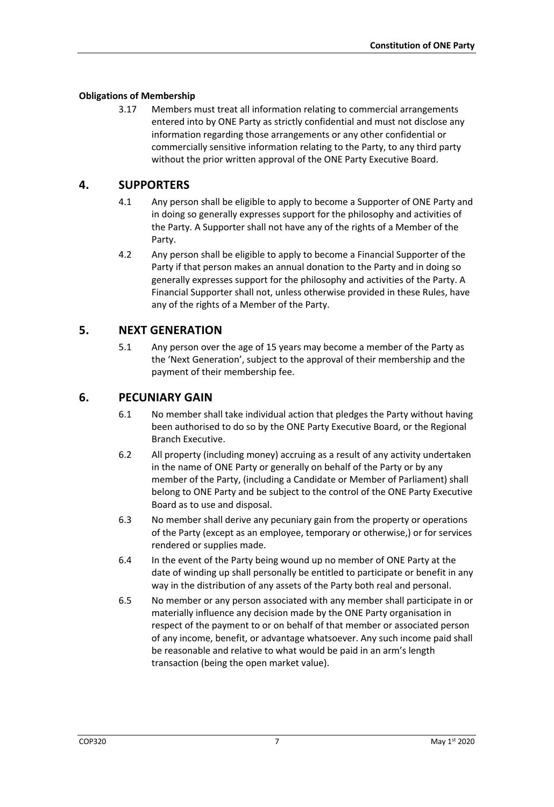#### **Obligations of Membership**

3.17 Members must treat all information relating to commercial arrangements entered into by ONE Party as strictly confidential and must not disclose any information regarding those arrangements or any other confidential or commercially sensitive information relating to the Party, to any third party without the prior written approval of the ONE Party Executive Board.

# **4. SUPPORTERS**

- 4.1 Any person shall be eligible to apply to become a Supporter of ONE Party and in doing so generally expresses support for the philosophy and activities of the Party. A Supporter shall not have any of the rights of a Member of the Party.
- 4.2 Any person shall be eligible to apply to become a Financial Supporter of the Party if that person makes an annual donation to the Party and in doing so generally expresses support for the philosophy and activities of the Party. A Financial Supporter shall not, unless otherwise provided in these Rules, have any of the rights of a Member of the Party.

## **5. NEXT GENERATION**

5.1 Any person over the age of 15 years may become a member of the Party as the 'Next Generation', subject to the approval of their membership and the payment of their membership fee.

## **6. PECUNIARY GAIN**

- 6.1 No member shall take individual action that pledges the Party without having been authorised to do so by the ONE Party Executive Board, or the Regional Branch Executive.
- 6.2 All property (including money) accruing as a result of any activity undertaken in the name of ONE Party or generally on behalf of the Party or by any member of the Party, (including a Candidate or Member of Parliament) shall belong to ONE Party and be subject to the control of the ONE Party Executive Board as to use and disposal.
- 6.3 No member shall derive any pecuniary gain from the property or operations of the Party (except as an employee, temporary or otherwise,) or for services rendered or supplies made.
- 6.4 In the event of the Party being wound up no member of ONE Party at the date of winding up shall personally be entitled to participate or benefit in any way in the distribution of any assets of the Party both real and personal.
- 6.5 No member or any person associated with any member shall participate in or materially influence any decision made by the ONE Party organisation in respect of the payment to or on behalf of that member or associated person of any income, benefit, or advantage whatsoever. Any such income paid shall be reasonable and relative to what would be paid in an arm's length transaction (being the open market value).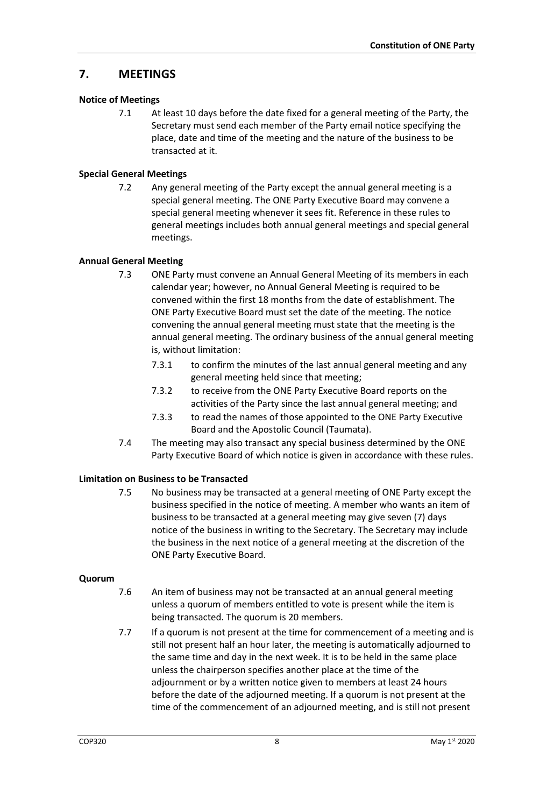# **7. MEETINGS**

#### **Notice of Meetings**

7.1 At least 10 days before the date fixed for a general meeting of the Party, the Secretary must send each member of the Party email notice specifying the place, date and time of the meeting and the nature of the business to be transacted at it.

#### **Special General Meetings**

7.2 Any general meeting of the Party except the annual general meeting is a special general meeting. The ONE Party Executive Board may convene a special general meeting whenever it sees fit. Reference in these rules to general meetings includes both annual general meetings and special general meetings.

#### **Annual General Meeting**

- 7.3 ONE Party must convene an Annual General Meeting of its members in each calendar year; however, no Annual General Meeting is required to be convened within the first 18 months from the date of establishment. The ONE Party Executive Board must set the date of the meeting. The notice convening the annual general meeting must state that the meeting is the annual general meeting. The ordinary business of the annual general meeting is, without limitation:
	- 7.3.1 to confirm the minutes of the last annual general meeting and any general meeting held since that meeting;
	- 7.3.2 to receive from the ONE Party Executive Board reports on the activities of the Party since the last annual general meeting; and
	- 7.3.3 to read the names of those appointed to the ONE Party Executive Board and the Apostolic Council (Taumata).
- 7.4 The meeting may also transact any special business determined by the ONE Party Executive Board of which notice is given in accordance with these rules.

#### **Limitation on Business to be Transacted**

7.5 No business may be transacted at a general meeting of ONE Party except the business specified in the notice of meeting. A member who wants an item of business to be transacted at a general meeting may give seven (7) days notice of the business in writing to the Secretary. The Secretary may include the business in the next notice of a general meeting at the discretion of the ONE Party Executive Board.

#### **Quorum**

- 7.6 An item of business may not be transacted at an annual general meeting unless a quorum of members entitled to vote is present while the item is being transacted. The quorum is 20 members.
- 7.7 If a quorum is not present at the time for commencement of a meeting and is still not present half an hour later, the meeting is automatically adjourned to the same time and day in the next week. It is to be held in the same place unless the chairperson specifies another place at the time of the adjournment or by a written notice given to members at least 24 hours before the date of the adjourned meeting. If a quorum is not present at the time of the commencement of an adjourned meeting, and is still not present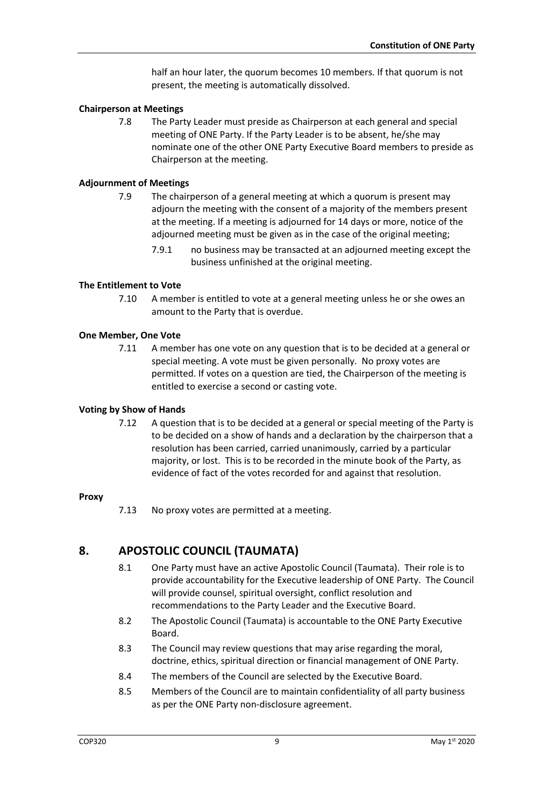half an hour later, the quorum becomes 10 members. If that quorum is not present, the meeting is automatically dissolved.

#### **Chairperson at Meetings**

7.8 The Party Leader must preside as Chairperson at each general and special meeting of ONE Party. If the Party Leader is to be absent, he/she may nominate one of the other ONE Party Executive Board members to preside as Chairperson at the meeting.

#### **Adjournment of Meetings**

- 7.9 The chairperson of a general meeting at which a quorum is present may adjourn the meeting with the consent of a majority of the members present at the meeting. If a meeting is adjourned for 14 days or more, notice of the adjourned meeting must be given as in the case of the original meeting;
	- 7.9.1 no business may be transacted at an adjourned meeting except the business unfinished at the original meeting.

#### **The Entitlement to Vote**

7.10 A member is entitled to vote at a general meeting unless he or she owes an amount to the Party that is overdue.

#### **One Member, One Vote**

7.11 A member has one vote on any question that is to be decided at a general or special meeting. A vote must be given personally. No proxy votes are permitted. If votes on a question are tied, the Chairperson of the meeting is entitled to exercise a second or casting vote.

#### **Voting by Show of Hands**

7.12 A question that is to be decided at a general or special meeting of the Party is to be decided on a show of hands and a declaration by the chairperson that a resolution has been carried, carried unanimously, carried by a particular majority, or lost. This is to be recorded in the minute book of the Party, as evidence of fact of the votes recorded for and against that resolution.

#### **Proxy**

7.13 No proxy votes are permitted at a meeting.

# **8. APOSTOLIC COUNCIL (TAUMATA)**

- 8.1 One Party must have an active Apostolic Council (Taumata). Their role is to provide accountability for the Executive leadership of ONE Party. The Council will provide counsel, spiritual oversight, conflict resolution and recommendations to the Party Leader and the Executive Board.
- 8.2 The Apostolic Council (Taumata) is accountable to the ONE Party Executive Board.
- 8.3 The Council may review questions that may arise regarding the moral, doctrine, ethics, spiritual direction or financial management of ONE Party.
- 8.4 The members of the Council are selected by the Executive Board.
- 8.5 Members of the Council are to maintain confidentiality of all party business as per the ONE Party non-disclosure agreement.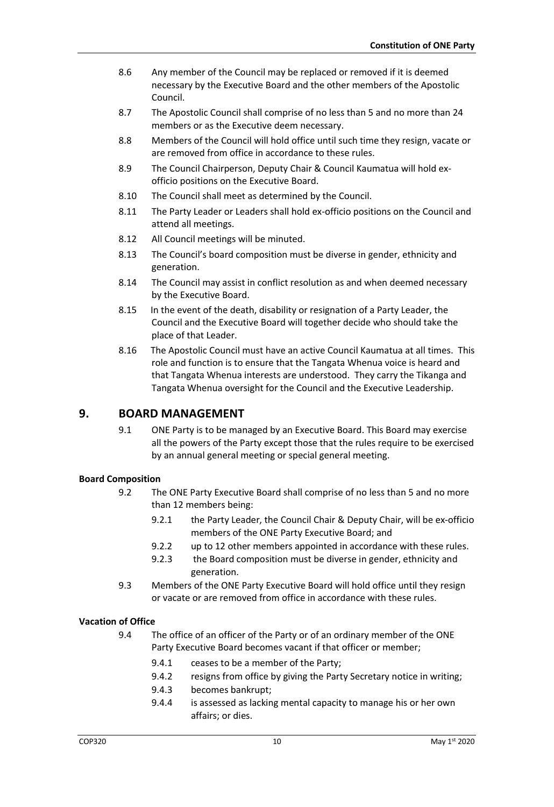- 8.6 Any member of the Council may be replaced or removed if it is deemed necessary by the Executive Board and the other members of the Apostolic Council.
- 8.7 The Apostolic Council shall comprise of no less than 5 and no more than 24 members or as the Executive deem necessary.
- 8.8 Members of the Council will hold office until such time they resign, vacate or are removed from office in accordance to these rules.
- 8.9 The Council Chairperson, Deputy Chair & Council Kaumatua will hold exofficio positions on the Executive Board.
- 8.10 The Council shall meet as determined by the Council.
- 8.11 The Party Leader or Leaders shall hold ex-officio positions on the Council and attend all meetings.
- 8.12 All Council meetings will be minuted.
- 8.13 The Council's board composition must be diverse in gender, ethnicity and generation.
- 8.14 The Council may assist in conflict resolution as and when deemed necessary by the Executive Board.
- 8.15 In the event of the death, disability or resignation of a Party Leader, the Council and the Executive Board will together decide who should take the place of that Leader.
- 8.16 The Apostolic Council must have an active Council Kaumatua at all times. This role and function is to ensure that the Tangata Whenua voice is heard and that Tangata Whenua interests are understood. They carry the Tikanga and Tangata Whenua oversight for the Council and the Executive Leadership.

## **9. BOARD MANAGEMENT**

9.1 ONE Party is to be managed by an Executive Board. This Board may exercise all the powers of the Party except those that the rules require to be exercised by an annual general meeting or special general meeting.

#### **Board Composition**

- 9.2 The ONE Party Executive Board shall comprise of no less than 5 and no more than 12 members being:
	- 9.2.1 the Party Leader, the Council Chair & Deputy Chair, will be ex-officio members of the ONE Party Executive Board; and
	- 9.2.2 up to 12 other members appointed in accordance with these rules.
	- 9.2.3 the Board composition must be diverse in gender, ethnicity and generation.
- 9.3 Members of the ONE Party Executive Board will hold office until they resign or vacate or are removed from office in accordance with these rules.

#### **Vacation of Office**

- 9.4 The office of an officer of the Party or of an ordinary member of the ONE Party Executive Board becomes vacant if that officer or member;
	- 9.4.1 ceases to be a member of the Party;
	- 9.4.2 resigns from office by giving the Party Secretary notice in writing;
	- 9.4.3 becomes bankrupt;
	- 9.4.4 is assessed as lacking mental capacity to manage his or her own affairs; or dies.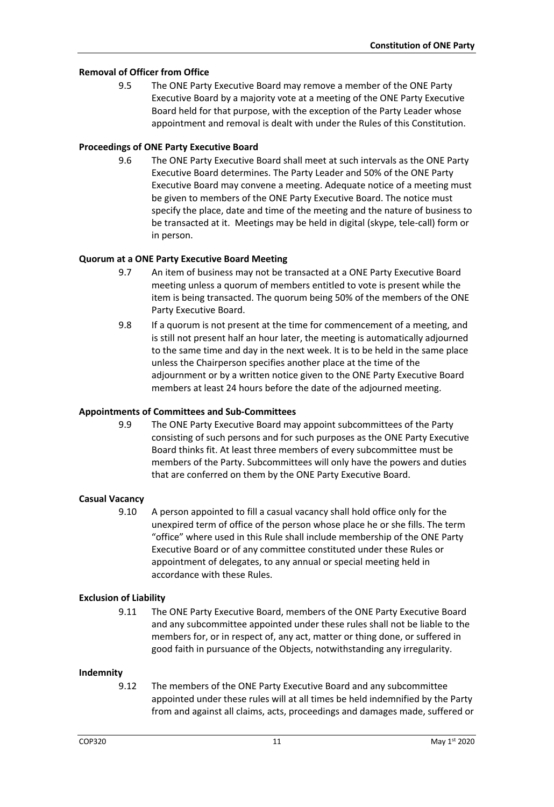#### **Removal of Officer from Office**

9.5 The ONE Party Executive Board may remove a member of the ONE Party Executive Board by a majority vote at a meeting of the ONE Party Executive Board held for that purpose, with the exception of the Party Leader whose appointment and removal is dealt with under the Rules of this Constitution.

#### **Proceedings of ONE Party Executive Board**

9.6 The ONE Party Executive Board shall meet at such intervals as the ONE Party Executive Board determines. The Party Leader and 50% of the ONE Party Executive Board may convene a meeting. Adequate notice of a meeting must be given to members of the ONE Party Executive Board. The notice must specify the place, date and time of the meeting and the nature of business to be transacted at it. Meetings may be held in digital (skype, tele-call) form or in person.

#### **Quorum at a ONE Party Executive Board Meeting**

- 9.7 An item of business may not be transacted at a ONE Party Executive Board meeting unless a quorum of members entitled to vote is present while the item is being transacted. The quorum being 50% of the members of the ONE Party Executive Board.
- 9.8 If a quorum is not present at the time for commencement of a meeting, and is still not present half an hour later, the meeting is automatically adjourned to the same time and day in the next week. It is to be held in the same place unless the Chairperson specifies another place at the time of the adjournment or by a written notice given to the ONE Party Executive Board members at least 24 hours before the date of the adjourned meeting.

#### **Appointments of Committees and Sub-Committees**

9.9 The ONE Party Executive Board may appoint subcommittees of the Party consisting of such persons and for such purposes as the ONE Party Executive Board thinks fit. At least three members of every subcommittee must be members of the Party. Subcommittees will only have the powers and duties that are conferred on them by the ONE Party Executive Board.

## **Casual Vacancy**

9.10 A person appointed to fill a casual vacancy shall hold office only for the unexpired term of office of the person whose place he or she fills. The term "office" where used in this Rule shall include membership of the ONE Party Executive Board or of any committee constituted under these Rules or appointment of delegates, to any annual or special meeting held in accordance with these Rules.

#### **Exclusion of Liability**

9.11 The ONE Party Executive Board, members of the ONE Party Executive Board and any subcommittee appointed under these rules shall not be liable to the members for, or in respect of, any act, matter or thing done, or suffered in good faith in pursuance of the Objects, notwithstanding any irregularity.

#### **Indemnity**

9.12 The members of the ONE Party Executive Board and any subcommittee appointed under these rules will at all times be held indemnified by the Party from and against all claims, acts, proceedings and damages made, suffered or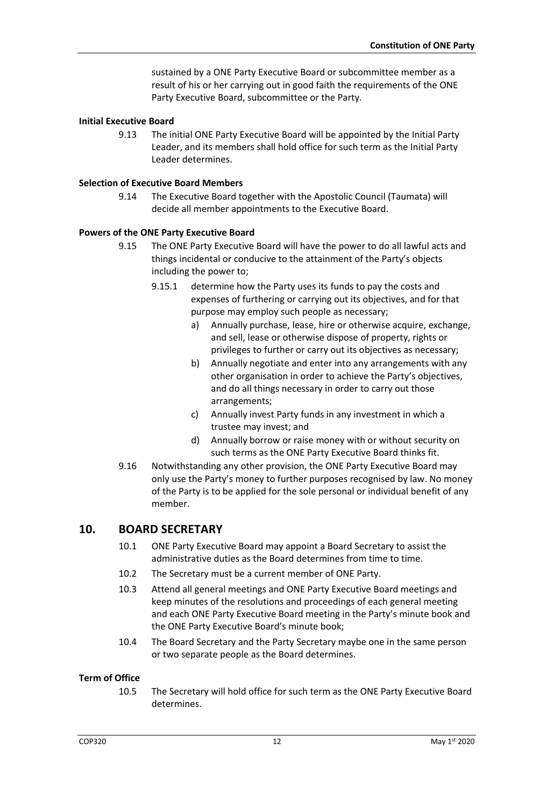sustained by a ONE Party Executive Board or subcommittee member as a result of his or her carrying out in good faith the requirements of the ONE Party Executive Board, subcommittee or the Party.

#### **Initial Executive Board**

9.13 The initial ONE Party Executive Board will be appointed by the Initial Party Leader, and its members shall hold office for such term as the Initial Party Leader determines.

#### **Selection of Executive Board Members**

9.14 The Executive Board together with the Apostolic Council (Taumata) will decide all member appointments to the Executive Board.

#### **Powers of the ONE Party Executive Board**

- 9.15 The ONE Party Executive Board will have the power to do all lawful acts and things incidental or conducive to the attainment of the Party's objects including the power to;
	- 9.15.1 determine how the Party uses its funds to pay the costs and expenses of furthering or carrying out its objectives, and for that purpose may employ such people as necessary;
		- a) Annually purchase, lease, hire or otherwise acquire, exchange, and sell, lease or otherwise dispose of property, rights or privileges to further or carry out its objectives as necessary;
		- b) Annually negotiate and enter into any arrangements with any other organisation in order to achieve the Party's objectives, and do all things necessary in order to carry out those arrangements;
		- c) Annually invest Party funds in any investment in which a trustee may invest; and
		- d) Annually borrow or raise money with or without security on such terms as the ONE Party Executive Board thinks fit.
- 9.16 Notwithstanding any other provision, the ONE Party Executive Board may only use the Party's money to further purposes recognised by law. No money of the Party is to be applied for the sole personal or individual benefit of any member.

## **10. BOARD SECRETARY**

- 10.1 ONE Party Executive Board may appoint a Board Secretary to assist the administrative duties as the Board determines from time to time.
- 10.2 The Secretary must be a current member of ONE Party.
- 10.3 Attend all general meetings and ONE Party Executive Board meetings and keep minutes of the resolutions and proceedings of each general meeting and each ONE Party Executive Board meeting in the Party's minute book and the ONE Party Executive Board's minute book;
- 10.4 The Board Secretary and the Party Secretary maybe one in the same person or two separate people as the Board determines.

#### **Term of Office**

10.5 The Secretary will hold office for such term as the ONE Party Executive Board determines.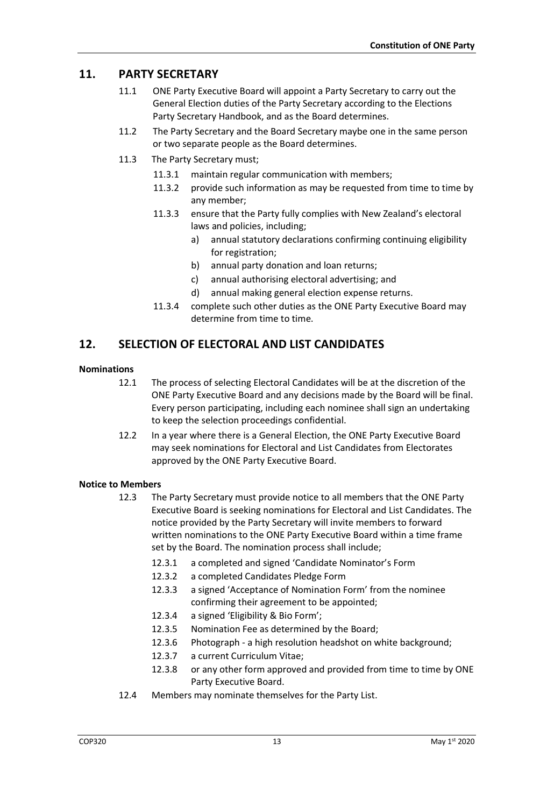# **11. PARTY SECRETARY**

- 11.1 ONE Party Executive Board will appoint a Party Secretary to carry out the General Election duties of the Party Secretary according to the Elections Party Secretary Handbook, and as the Board determines.
- 11.2 The Party Secretary and the Board Secretary maybe one in the same person or two separate people as the Board determines.
- 11.3 The Party Secretary must;
	- 11.3.1 maintain regular communication with members;
	- 11.3.2 provide such information as may be requested from time to time by any member;
	- 11.3.3 ensure that the Party fully complies with New Zealand's electoral laws and policies, including;
		- a) annual statutory declarations confirming continuing eligibility for registration;
		- b) annual party donation and loan returns;
		- c) annual authorising electoral advertising; and
		- d) annual making general election expense returns.
	- 11.3.4 complete such other duties as the ONE Party Executive Board may determine from time to time.

# **12. SELECTION OF ELECTORAL AND LIST CANDIDATES**

#### **Nominations**

- 12.1 The process of selecting Electoral Candidates will be at the discretion of the ONE Party Executive Board and any decisions made by the Board will be final. Every person participating, including each nominee shall sign an undertaking to keep the selection proceedings confidential.
- 12.2 In a year where there is a General Election, the ONE Party Executive Board may seek nominations for Electoral and List Candidates from Electorates approved by the ONE Party Executive Board.

#### **Notice to Members**

- 12.3 The Party Secretary must provide notice to all members that the ONE Party Executive Board is seeking nominations for Electoral and List Candidates. The notice provided by the Party Secretary will invite members to forward written nominations to the ONE Party Executive Board within a time frame set by the Board. The nomination process shall include;
	- 12.3.1 a completed and signed 'Candidate Nominator's Form
	- 12.3.2 a completed Candidates Pledge Form
	- 12.3.3 a signed 'Acceptance of Nomination Form' from the nominee confirming their agreement to be appointed;
	- 12.3.4 a signed 'Eligibility & Bio Form';
	- 12.3.5 Nomination Fee as determined by the Board;
	- 12.3.6 Photograph a high resolution headshot on white background;
	- 12.3.7 a current Curriculum Vitae;
	- 12.3.8 or any other form approved and provided from time to time by ONE Party Executive Board.
- 12.4 Members may nominate themselves for the Party List.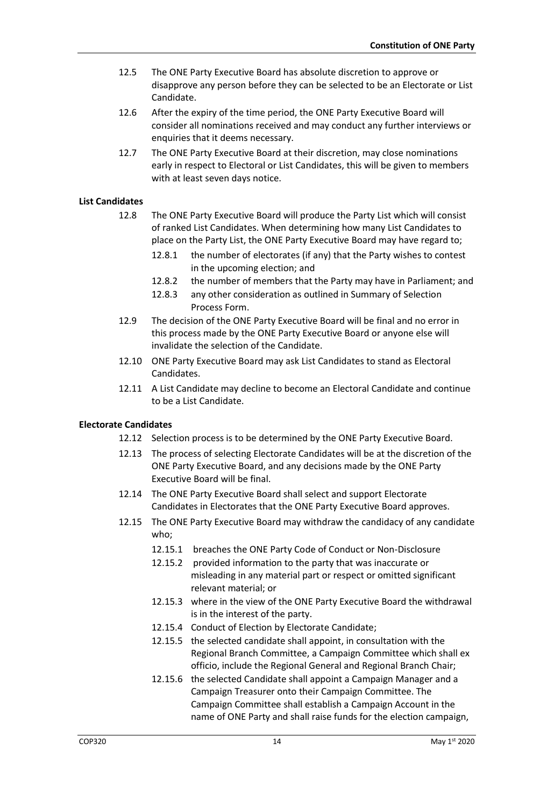- 12.5 The ONE Party Executive Board has absolute discretion to approve or disapprove any person before they can be selected to be an Electorate or List Candidate.
- 12.6 After the expiry of the time period, the ONE Party Executive Board will consider all nominations received and may conduct any further interviews or enquiries that it deems necessary.
- 12.7 The ONE Party Executive Board at their discretion, may close nominations early in respect to Electoral or List Candidates, this will be given to members with at least seven days notice.

#### **List Candidates**

- 12.8 The ONE Party Executive Board will produce the Party List which will consist of ranked List Candidates. When determining how many List Candidates to place on the Party List, the ONE Party Executive Board may have regard to;
	- 12.8.1 the number of electorates (if any) that the Party wishes to contest in the upcoming election; and
	- 12.8.2 the number of members that the Party may have in Parliament; and
	- 12.8.3 any other consideration as outlined in Summary of Selection Process Form.
- 12.9 The decision of the ONE Party Executive Board will be final and no error in this process made by the ONE Party Executive Board or anyone else will invalidate the selection of the Candidate.
- 12.10 ONE Party Executive Board may ask List Candidates to stand as Electoral Candidates.
- 12.11 A List Candidate may decline to become an Electoral Candidate and continue to be a List Candidate.

#### **Electorate Candidates**

- 12.12 Selection process is to be determined by the ONE Party Executive Board.
- 12.13 The process of selecting Electorate Candidates will be at the discretion of the ONE Party Executive Board, and any decisions made by the ONE Party Executive Board will be final.
- 12.14 The ONE Party Executive Board shall select and support Electorate Candidates in Electorates that the ONE Party Executive Board approves.
- 12.15 The ONE Party Executive Board may withdraw the candidacy of any candidate who;
	- 12.15.1 breaches the ONE Party Code of Conduct or Non-Disclosure
	- 12.15.2 provided information to the party that was inaccurate or misleading in any material part or respect or omitted significant relevant material; or
	- 12.15.3 where in the view of the ONE Party Executive Board the withdrawal is in the interest of the party.
	- 12.15.4 Conduct of Election by Electorate Candidate;
	- 12.15.5 the selected candidate shall appoint, in consultation with the Regional Branch Committee, a Campaign Committee which shall ex officio, include the Regional General and Regional Branch Chair;
	- 12.15.6 the selected Candidate shall appoint a Campaign Manager and a Campaign Treasurer onto their Campaign Committee. The Campaign Committee shall establish a Campaign Account in the name of ONE Party and shall raise funds for the election campaign,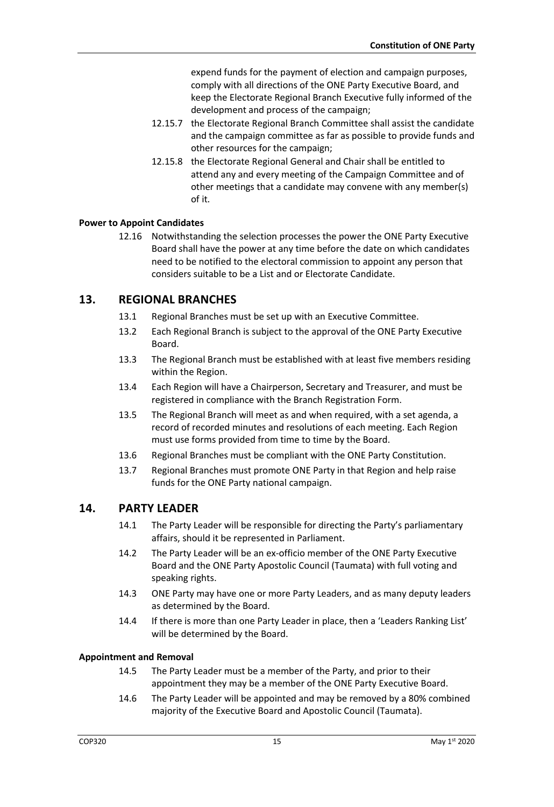expend funds for the payment of election and campaign purposes, comply with all directions of the ONE Party Executive Board, and keep the Electorate Regional Branch Executive fully informed of the development and process of the campaign;

- 12.15.7 the Electorate Regional Branch Committee shall assist the candidate and the campaign committee as far as possible to provide funds and other resources for the campaign;
- 12.15.8 the Electorate Regional General and Chair shall be entitled to attend any and every meeting of the Campaign Committee and of other meetings that a candidate may convene with any member(s) of it.

#### **Power to Appoint Candidates**

12.16 Notwithstanding the selection processes the power the ONE Party Executive Board shall have the power at any time before the date on which candidates need to be notified to the electoral commission to appoint any person that considers suitable to be a List and or Electorate Candidate.

## **13. REGIONAL BRANCHES**

- 13.1 Regional Branches must be set up with an Executive Committee.
- 13.2 Each Regional Branch is subject to the approval of the ONE Party Executive Board.
- 13.3 The Regional Branch must be established with at least five members residing within the Region.
- 13.4 Each Region will have a Chairperson, Secretary and Treasurer, and must be registered in compliance with the Branch Registration Form.
- 13.5 The Regional Branch will meet as and when required, with a set agenda, a record of recorded minutes and resolutions of each meeting. Each Region must use forms provided from time to time by the Board.
- 13.6 Regional Branches must be compliant with the ONE Party Constitution.
- 13.7 Regional Branches must promote ONE Party in that Region and help raise funds for the ONE Party national campaign.

## **14. PARTY LEADER**

- 14.1 The Party Leader will be responsible for directing the Party's parliamentary affairs, should it be represented in Parliament.
- 14.2 The Party Leader will be an ex-officio member of the ONE Party Executive Board and the ONE Party Apostolic Council (Taumata) with full voting and speaking rights.
- 14.3 ONE Party may have one or more Party Leaders, and as many deputy leaders as determined by the Board.
- 14.4 If there is more than one Party Leader in place, then a 'Leaders Ranking List' will be determined by the Board.

#### **Appointment and Removal**

- 14.5 The Party Leader must be a member of the Party, and prior to their appointment they may be a member of the ONE Party Executive Board.
- 14.6 The Party Leader will be appointed and may be removed by a 80% combined majority of the Executive Board and Apostolic Council (Taumata).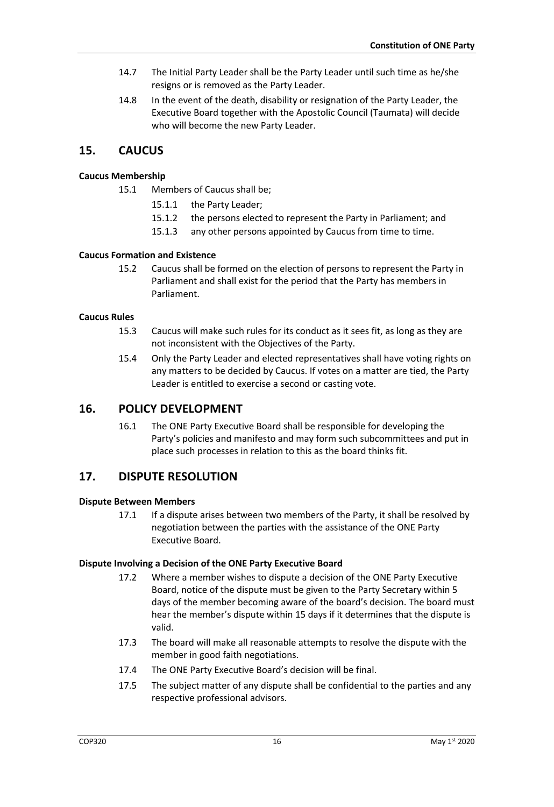- 14.7 The Initial Party Leader shall be the Party Leader until such time as he/she resigns or is removed as the Party Leader.
- 14.8 In the event of the death, disability or resignation of the Party Leader, the Executive Board together with the Apostolic Council (Taumata) will decide who will become the new Party Leader.

# **15. CAUCUS**

#### **Caucus Membership**

- 15.1 Members of Caucus shall be;
	- 15.1.1 the Party Leader;
	- 15.1.2 the persons elected to represent the Party in Parliament; and
	- 15.1.3 any other persons appointed by Caucus from time to time.

#### **Caucus Formation and Existence**

15.2 Caucus shall be formed on the election of persons to represent the Party in Parliament and shall exist for the period that the Party has members in Parliament.

#### **Caucus Rules**

- 15.3 Caucus will make such rules for its conduct as it sees fit, as long as they are not inconsistent with the Objectives of the Party.
- 15.4 Only the Party Leader and elected representatives shall have voting rights on any matters to be decided by Caucus. If votes on a matter are tied, the Party Leader is entitled to exercise a second or casting vote.

# **16. POLICY DEVELOPMENT**

16.1 The ONE Party Executive Board shall be responsible for developing the Party's policies and manifesto and may form such subcommittees and put in place such processes in relation to this as the board thinks fit.

# **17. DISPUTE RESOLUTION**

#### **Dispute Between Members**

17.1 If a dispute arises between two members of the Party, it shall be resolved by negotiation between the parties with the assistance of the ONE Party Executive Board.

#### **Dispute Involving a Decision of the ONE Party Executive Board**

- 17.2 Where a member wishes to dispute a decision of the ONE Party Executive Board, notice of the dispute must be given to the Party Secretary within 5 days of the member becoming aware of the board's decision. The board must hear the member's dispute within 15 days if it determines that the dispute is valid.
- 17.3 The board will make all reasonable attempts to resolve the dispute with the member in good faith negotiations.
- 17.4 The ONE Party Executive Board's decision will be final.
- 17.5 The subject matter of any dispute shall be confidential to the parties and any respective professional advisors.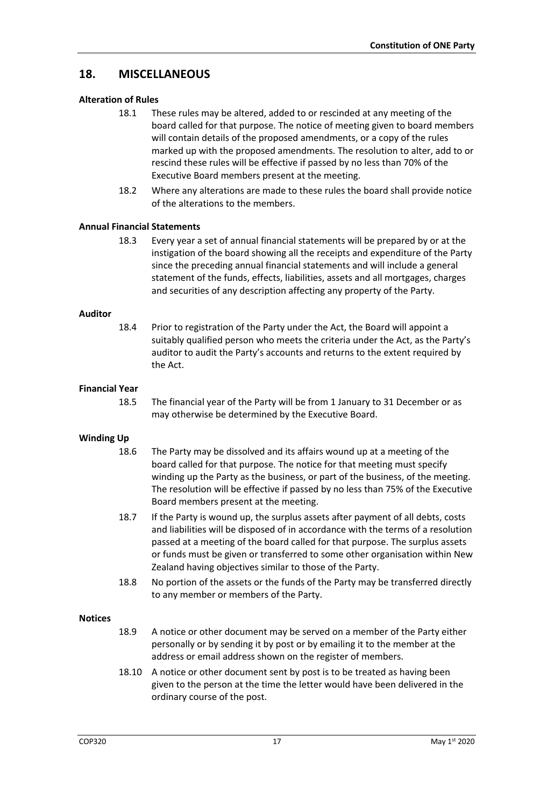# **18. MISCELLANEOUS**

#### **Alteration of Rules**

- 18.1 These rules may be altered, added to or rescinded at any meeting of the board called for that purpose. The notice of meeting given to board members will contain details of the proposed amendments, or a copy of the rules marked up with the proposed amendments. The resolution to alter, add to or rescind these rules will be effective if passed by no less than 70% of the Executive Board members present at the meeting.
- 18.2 Where any alterations are made to these rules the board shall provide notice of the alterations to the members.

#### **Annual Financial Statements**

18.3 Every year a set of annual financial statements will be prepared by or at the instigation of the board showing all the receipts and expenditure of the Party since the preceding annual financial statements and will include a general statement of the funds, effects, liabilities, assets and all mortgages, charges and securities of any description affecting any property of the Party.

#### **Auditor**

18.4 Prior to registration of the Party under the Act, the Board will appoint a suitably qualified person who meets the criteria under the Act, as the Party's auditor to audit the Party's accounts and returns to the extent required by the Act.

#### **Financial Year**

18.5 The financial year of the Party will be from 1 January to 31 December or as may otherwise be determined by the Executive Board.

#### **Winding Up**

- 18.6 The Party may be dissolved and its affairs wound up at a meeting of the board called for that purpose. The notice for that meeting must specify winding up the Party as the business, or part of the business, of the meeting. The resolution will be effective if passed by no less than 75% of the Executive Board members present at the meeting.
- 18.7 If the Party is wound up, the surplus assets after payment of all debts, costs and liabilities will be disposed of in accordance with the terms of a resolution passed at a meeting of the board called for that purpose. The surplus assets or funds must be given or transferred to some other organisation within New Zealand having objectives similar to those of the Party.
- 18.8 No portion of the assets or the funds of the Party may be transferred directly to any member or members of the Party.

#### **Notices**

- 18.9 A notice or other document may be served on a member of the Party either personally or by sending it by post or by emailing it to the member at the address or email address shown on the register of members.
- 18.10 A notice or other document sent by post is to be treated as having been given to the person at the time the letter would have been delivered in the ordinary course of the post.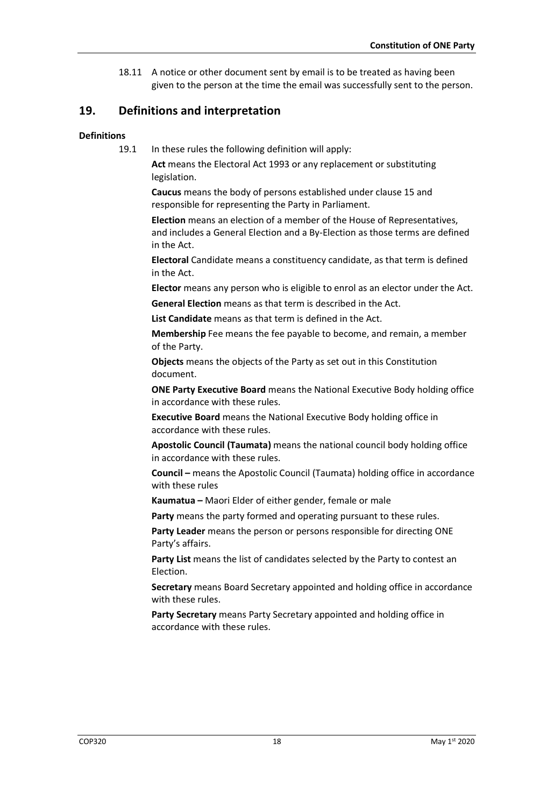18.11 A notice or other document sent by email is to be treated as having been given to the person at the time the email was successfully sent to the person.

# **19. Definitions and interpretation**

#### **Definitions**

19.1 In these rules the following definition will apply:

**Act** means the Electoral Act 1993 or any replacement or substituting legislation.

**Caucus** means the body of persons established under clause 15 and responsible for representing the Party in Parliament.

**Election** means an election of a member of the House of Representatives, and includes a General Election and a By-Election as those terms are defined in the Act.

**Electoral** Candidate means a constituency candidate, as that term is defined in the Act.

**Elector** means any person who is eligible to enrol as an elector under the Act. **General Election** means as that term is described in the Act.

**List Candidate** means as that term is defined in the Act.

**Membership** Fee means the fee payable to become, and remain, a member of the Party.

**Objects** means the objects of the Party as set out in this Constitution document.

**ONE Party Executive Board** means the National Executive Body holding office in accordance with these rules.

**Executive Board** means the National Executive Body holding office in accordance with these rules.

**Apostolic Council (Taumata)** means the national council body holding office in accordance with these rules.

**Council –** means the Apostolic Council (Taumata) holding office in accordance with these rules

**Kaumatua –** Maori Elder of either gender, female or male

**Party** means the party formed and operating pursuant to these rules.

**Party Leader** means the person or persons responsible for directing ONE Party's affairs.

Party List means the list of candidates selected by the Party to contest an Election.

**Secretary** means Board Secretary appointed and holding office in accordance with these rules.

**Party Secretary** means Party Secretary appointed and holding office in accordance with these rules.